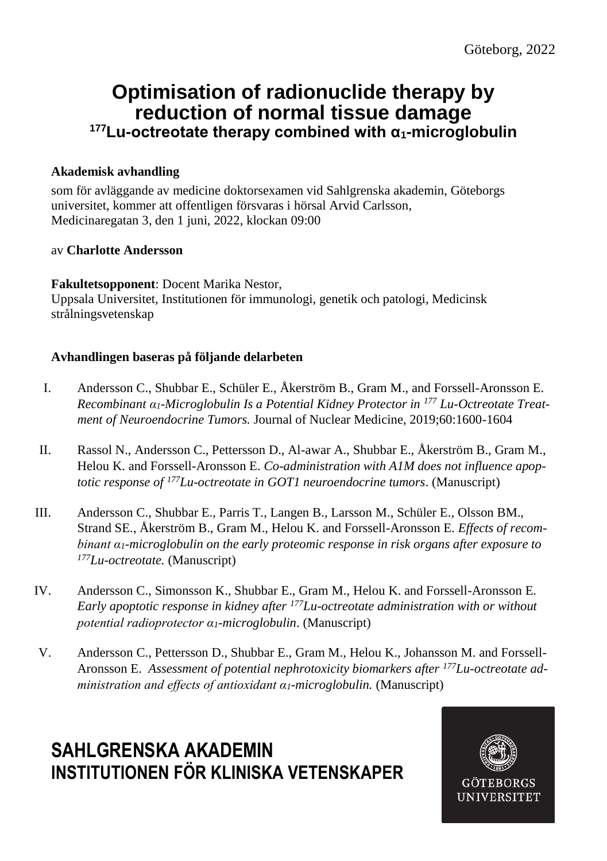## **Optimisation of radionuclide therapy by reduction of normal tissue damage <sup>177</sup>Lu-octreotate therapy combined with α1-microglobulin**

### **Akademisk avhandling**

som för avläggande av medicine doktorsexamen vid Sahlgrenska akademin, Göteborgs universitet, kommer att offentligen försvaras i hörsal Arvid Carlsson, Medicinaregatan 3, den 1 juni, 2022, klockan 09:00

#### av **Charlotte Andersson**

**Fakultetsopponent**: Docent Marika Nestor, Uppsala Universitet, Institutionen för immunologi, genetik och patologi, Medicinsk strålningsvetenskap

#### **Avhandlingen baseras på följande delarbeten**

- I. Andersson C., Shubbar E., Schüler E., Åkerström B., Gram M., and Forssell-Aronsson E. *Recombinant α1-Microglobulin Is a Potential Kidney Protector in <sup>177</sup> Lu-Octreotate Treatment of Neuroendocrine Tumors.* Journal of Nuclear Medicine, 2019;60:1600-1604
- II. Rassol N., Andersson C., Pettersson D., Al-awar A., Shubbar E., Åkerström B., Gram M., Helou K. and Forssell-Aronsson E. *Co-administration with A1M does not influence apoptotic response of <sup>177</sup>Lu-octreotate in GOT1 neuroendocrine tumors*. (Manuscript)
- III. Andersson C., Shubbar E., Parris T., Langen B., Larsson M., Schüler E., Olsson BM., Strand SE., Åkerström B., Gram M., Helou K. and Forssell-Aronsson E. *Effects of recombinant α1-microglobulin on the early proteomic response in risk organs after exposure to <sup>177</sup>Lu-octreotate.* (Manuscript)
- IV. Andersson C., Simonsson K., Shubbar E., Gram M., Helou K. and Forssell-Aronsson E. *Early apoptotic response in kidney after <sup>177</sup>Lu-octreotate administration with or without potential radioprotector α1-microglobulin*. (Manuscript)
- V. Andersson C., Pettersson D., Shubbar E., Gram M., Helou K., Johansson M. and Forssell-Aronsson E. Assessment of potential nephrotoxicity biomarkers after <sup>177</sup>*Lu-octreotate administration and effects of antioxidant α1-microglobulin.* (Manuscript)

# **SAHLGRENSKA AKADEMIN INSTITUTIONEN FÖR KLINISKA VETENSKAPER**